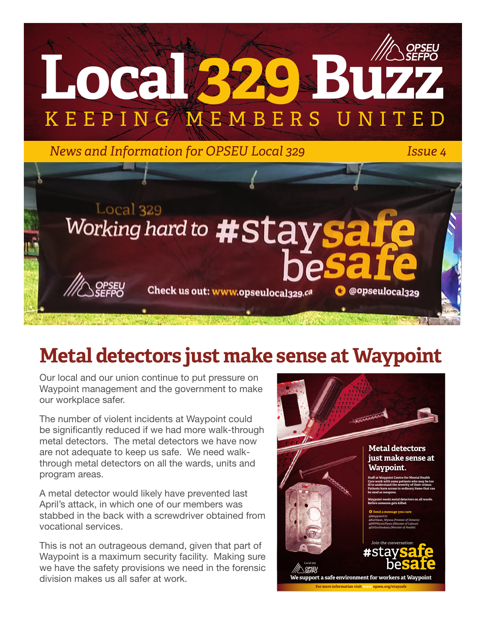

# **Metal detectors just make sense at Waypoint**

Our local and our union continue to put pressure on Waypoint management and the government to make our workplace safer.

The number of violent incidents at Waypoint could be significantly reduced if we had more walk-through metal detectors. The metal detectors we have now are not adequate to keep us safe. We need walkthrough metal detectors on all the wards, units and program areas.

A metal detector would likely have prevented last April's attack, in which one of our members was stabbed in the back with a screwdriver obtained from vocational services.

This is not an outrageous demand, given that part of Waypoint is a maximum security facility. Making sure we have the safety provisions we need in the forensic division makes us all safer at work.

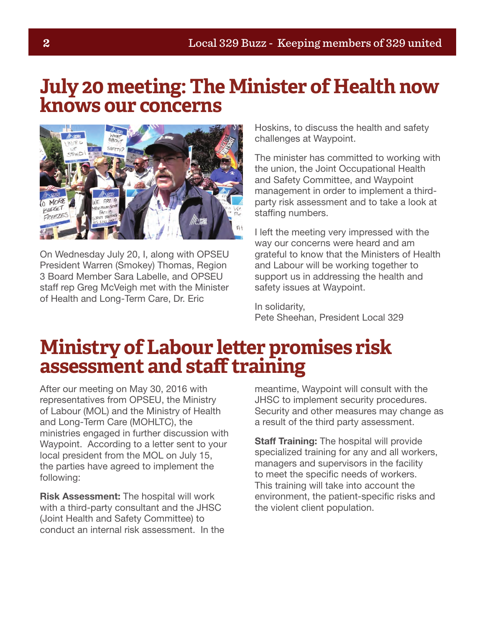### **July 20 meeting: The Minister of Health now knows our concerns**



On Wednesday July 20, I, along with OPSEU President Warren (Smokey) Thomas, Region 3 Board Member Sara Labelle, and OPSEU staff rep Greg McVeigh met with the Minister of Health and Long-Term Care, Dr. Eric

Hoskins, to discuss the health and safety challenges at Waypoint.

The minister has committed to working with the union, the Joint Occupational Health and Safety Committee, and Waypoint management in order to implement a thirdparty risk assessment and to take a look at staffing numbers.

I left the meeting very impressed with the way our concerns were heard and am grateful to know that the Ministers of Health and Labour will be working together to support us in addressing the health and safety issues at Waypoint.

In solidarity, Pete Sheehan, President Local 329

## **Ministry of Labour letter promises risk assessment and staff training**

After our meeting on May 30, 2016 with representatives from OPSEU, the Ministry of Labour (MOL) and the Ministry of Health and Long-Term Care (MOHLTC), the ministries engaged in further discussion with Waypoint. According to a letter sent to your local president from the MOL on July 15, the parties have agreed to implement the following:

Risk Assessment: The hospital will work with a third-party consultant and the JHSC (Joint Health and Safety Committee) to conduct an internal risk assessment. In the meantime, Waypoint will consult with the JHSC to implement security procedures. Security and other measures may change as a result of the third party assessment.

**Staff Training:** The hospital will provide specialized training for any and all workers, managers and supervisors in the facility to meet the specific needs of workers. This training will take into account the environment, the patient-specific risks and the violent client population.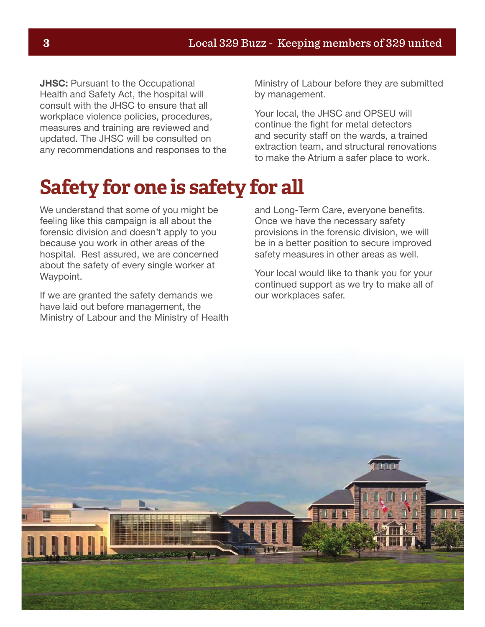**JHSC:** Pursuant to the Occupational Health and Safety Act, the hospital will consult with the JHSC to ensure that all workplace violence policies, procedures, measures and training are reviewed and updated. The JHSC will be consulted on any recommendations and responses to the

Ministry of Labour before they are submitted by management.

Your local, the JHSC and OPSEU will continue the fight for metal detectors and security staff on the wards, a trained extraction team, and structural renovations to make the Atrium a safer place to work.

## **Safety for one is safety for all**

We understand that some of you might be feeling like this campaign is all about the forensic division and doesn't apply to you because you work in other areas of the hospital. Rest assured, we are concerned about the safety of every single worker at Waypoint.

If we are granted the safety demands we have laid out before management, the Ministry of Labour and the Ministry of Health and Long-Term Care, everyone benefits. Once we have the necessary safety provisions in the forensic division, we will be in a better position to secure improved safety measures in other areas as well.

Your local would like to thank you for your continued support as we try to make all of our workplaces safer.